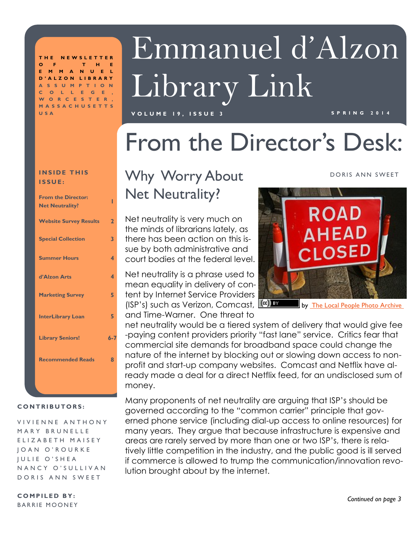**T H E N E W S L E T T E R O F T H E E M M A N U E L D ' A L Z O N L I B R A R Y A S S U M P T I O N C E** , **W O R C E S T E R , M A S S A C H U S E T T S U S A**

# Emmanuel d'Alzon Library Link

### **V O L U M E 1 9 , I S S U E 3 S P R I N G 2 0 1 4**

## From the Director's Desk:

### **INSIDE THIS I S S U E :**

| <b>From the Director:</b><br><b>Net Neutrality?</b> |                         |
|-----------------------------------------------------|-------------------------|
| <b>Website Survey Results</b>                       | $\overline{2}$          |
| <b>Special Collection</b>                           | 3                       |
| <b>Summer Hours</b>                                 | 4                       |
| d'Alzon Arts                                        | $\overline{\mathbf{A}}$ |
| <b>Marketing Survey</b>                             | 5                       |
| <b>InterLibrary Loan</b>                            | 5                       |
| <b>Library Seniors!</b>                             | $6 - 7$                 |
| <b>Recommended Reads</b>                            | 8                       |
|                                                     |                         |
|                                                     |                         |

### **C O N T R I B U T O R S :**

VIVIENNE ANTHONY MARY BRUNELLE E L I Z A B E T H M A I S E Y J O A N O ' R O U R K E **JULIE O'SHEA** N A N C Y O ' S U L L I V A N DORIS ANN SWEET

**COMPILED BY:** BARRIE MOONEY

### Why Worry About Net Neutrality?

Net neutrality is very much on the minds of librarians lately, as there has been action on this issue by both administrative and court bodies at the federal level.

Net neutrality is a phrase used to mean equality in delivery of content by Internet Service Providers (ISP's) such as Verizon, Comcast, and Time-Warner. One threat to

### DORIS ANN SWEET



by [The Local People Photo Archive](http://www.flickr.com/people/thelocalpeople/)

net neutrality would be a tiered system of delivery that would give fee -paying content providers priority "fast lane" service. Critics fear that commercial site demands for broadband space could change the nature of the internet by blocking out or slowing down access to nonprofit and start-up company websites. Comcast and Netflix have already made a deal for a direct Netflix feed, for an undisclosed sum of money.

Many proponents of net neutrality are arguing that ISP's should be governed according to the "common carrier" principle that governed phone service (including dial-up access to online resources) for many years. They argue that because infrastructure is expensive and areas are rarely served by more than one or two ISP's, there is relatively little competition in the industry, and the public good is ill served if commerce is allowed to trump the communication/innovation revolution brought about by the internet.

*Continued on page 3*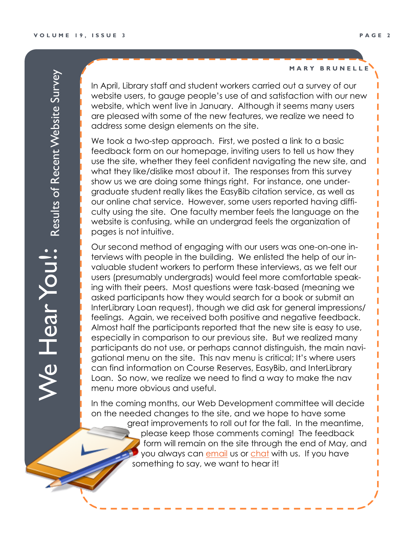**M A R Y B R U N E L L E**

In April, Library staff and student workers carried out a survey of our website users, to gauge people's use of and satisfaction with our new website, which went live in January. Although it seems many users are pleased with some of the new features, we realize we need to address some design elements on the site.

We took a two-step approach. First, we posted a link to a basic feedback form on our homepage, inviting users to tell us how they use the site, whether they feel confident navigating the new site, and what they like/dislike most about it. The responses from this survey show us we are doing some things right. For instance, one undergraduate student really likes the EasyBib citation service, as well as our online chat service. However, some users reported having difficulty using the site. One faculty member feels the language on the website is confusing, while an undergrad feels the organization of pages is not intuitive.

Our second method of engaging with our users was one-on-one interviews with people in the building. We enlisted the help of our invaluable student workers to perform these interviews, as we felt our users (presumably undergrads) would feel more comfortable speaking with their peers. Most questions were task-based (meaning we asked participants how they would search for a book or submit an InterLibrary Loan request), though we did ask for general impressions/ feelings. Again, we received both positive and negative feedback. Almost half the participants reported that the new site is easy to use, especially in comparison to our previous site. But we realized many participants do not use, or perhaps cannot distinguish, the main navigational menu on the site. This nav menu is critical; It's where users can find information on Course Reserves, EasyBib, and InterLibrary Loan. So now, we realize we need to find a way to make the nav menu more obvious and useful.

In the coming months, our Web Development committee will decide on the needed changes to the site, and we hope to have some great improvements to roll out for the fall. In the meantime, please keep those comments coming! The feedback form will remain on the site through the end of May, and you always can <del>emai</del>l us or [chat](http://www.assumption.edu/library/ask-a-librarian) with us. If you have something to say, we want to hear it!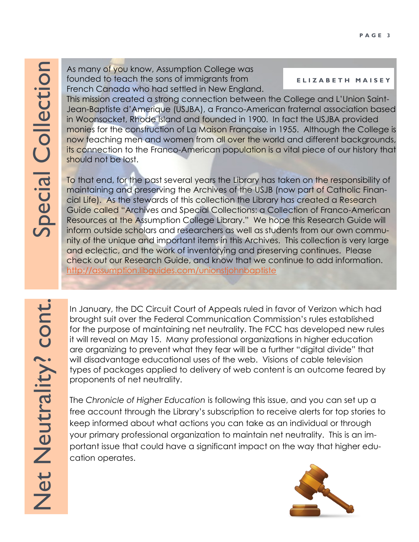As many of you know, Assumption College was founded to teach the sons of immigrants from French Canada who had settled in New England.

### **E L I Z A B E T H M A I S E Y**

This mission created a strong connection between the College and L'Union Saint-Jean-Baptiste d'Amerique (USJBA), a Franco-American fraternal association based in Woonsocket, Rhode Island and founded in 1900. In fact the USJBA provided monies for the construction of La Maison Française in 1955. Although the College is now teaching men and women from all over the world and different backgrounds, its connection to the Franco-American population is a vital piece of our history that should not be lost.

To that end, for the past several years the Library has taken on the responsibility of maintaining and preserving the Archives of the USJB (now part of Catholic Financial Life). As the stewards of this collection the Library has created a Research Guide called "Archives and Special Collections: a Collection of Franco-American Resources at the Assumption College Library." We hope this Research Guide will inform outside scholars and researchers as well as students from our own community of the unique and important items in this Archives. This collection is very large and eclectic, and the work of inventorying and preserving continues. Please check out our Research Guide, and know that we continue to add information. <http://assumption.libguides.com/unionstjohnbaptiste>

In January, the DC Circuit Court of Appeals ruled in favor of Verizon which had brought suit over the Federal Communication Commission's rules established for the purpose of maintaining net neutrality. The FCC has developed new rules it will reveal on May 15. Many professional organizations in higher education are organizing to prevent what they fear will be a further "digital divide" that will disadvantage educational uses of the web. Visions of cable television types of packages applied to delivery of web content is an outcome feared by proponents of net neutrality.

The *Chronicle of Higher Education* is following this issue, and you can set up a free account through the Library's subscription to receive alerts for top stories to keep informed about what actions you can take as an individual or through your primary professional organization to maintain net neutrality. This is an important issue that could have a significant impact on the way that higher education operates.

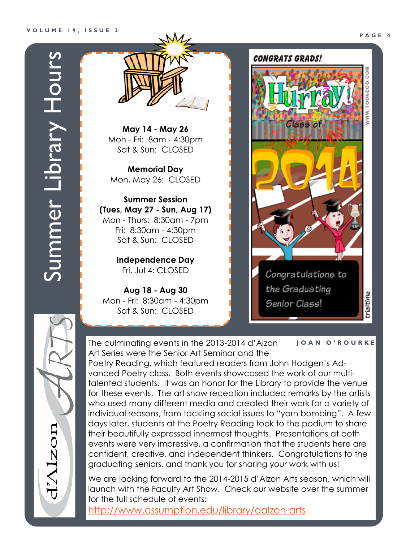zon



**May 14 - May 26** Mon - Fri: 8am - 4:30pm Sat & Sun: CLOSED

**Memorial Day** Mon, May 26: CLOSED

**Summer Session (Tues, May 27 - Sun, Aug 17)** Mon - Thurs: 8:30am - 7pm Fri: 8:30am - 4:30pm Sat & Sun: CLOSED

> **Independence Day** Fri, Jul 4: CLOSED

**Aug 18 - Aug 30** Mon - Fri: 8:30am - 4:30pm Sat & Sun: CLOSED

### CONGRATS GRADS!



The culminating events in the 2013-2014 d'Alzon Art Series were the Senior Art Seminar and the Poetry Reading, which featured readers from John Hodgen's Advanced Poetry class. Both events showcased the work of our multitalented students. It was an honor for the Library to provide the venue for these events. The art show reception included remarks by the artists who used many different media and created their work for a variety of individual reasons, from tackling social issues to "yarn bombing*"*. A few days later, students at the Poetry Reading took to the podium to share their beautifully expressed innermost thoughts. Presentations at both events were very impressive, a confirmation that the students here are confident, creative, and independent thinkers. Congratulations to the graduating seniors, and thank you for sharing your work with us! **J O A N O ' R O U R K E**

We are looking forward to the 2014-2015 d'Alzon Arts season, which will launch with the Faculty Art Show. Check our website over the summer for the full schedule of events:

<http://www.assumption.edu/library/dalzon-arts>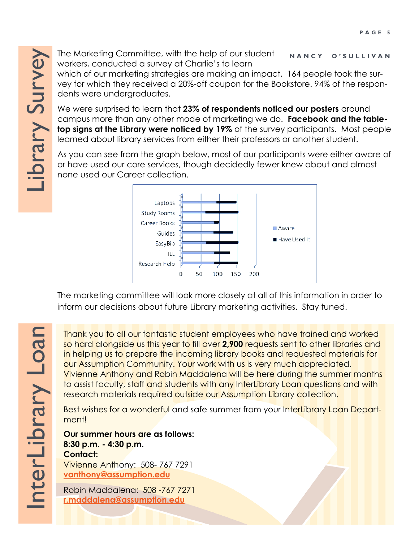The Marketing Committee, with the help of our student workers, conducted a survey at Charlie's to learn **N A N C Y O ' S U L L I V A N**

which of our marketing strategies are making an impact. 164 people took the survey for which they received a 20%-off coupon for the Bookstore. 94% of the respondents were undergraduates.

We were surprised to learn that **23% of respondents noticed our posters** around campus more than any other mode of marketing we do. **Facebook and the tabletop signs at the Library were noticed by 19%** of the survey participants. Most people learned about library services from either their professors or another student.

As you can see from the graph below, most of our participants were either aware of or have used our core services, though decidedly fewer knew about and almost none used our Career collection.



The marketing committee will look more closely at all of this information in order to inform our decisions about future Library marketing activities. Stay tuned.

Thank you to all our fantastic student employees who have trained and worked so hard alongside us this year to fill over **2,900** requests sent to other libraries and in helping us to prepare the incoming library books and requested materials for our Assumption Community. Your work with us is very much appreciated. Vivienne Anthony and Robin Maddalena will be here during the summer months to assist faculty, staff and students with any InterLibrary Loan questions and with research materials required outside our Assumption Library collection.

Best wishes for a wonderful and safe summer from your InterLibrary Loan Department!

**Our summer hours are as follows: 8:30 p.m. - 4:30 p.m. Contact:** Vivienne Anthony: 508- 767 7291 **[vanthony@assumption.edu](mailto:vanthony@assumption.edu)**

Robin Maddalena: 508 -767 7271 **[r.maddalena@assumption.edu](mailto:r.maddalena@assumption.edu)**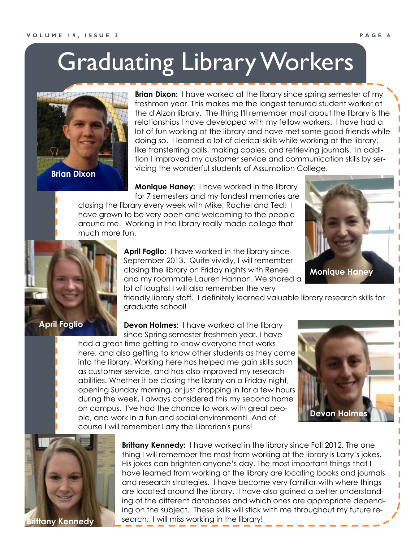## Graduating Library Workers



**Brian Dixon:** I have worked at the library since spring semester of my freshmen year. This makes me the longest tenured student worker at the d'Alzon library. The thing I'll remember most about the library is the relationships I have developed with my fellow workers. I have had a lot of fun working at the library and have met some good friends while doing so. I learned a lot of clerical skills while working at the library, like transferring calls, making copies, and retrieving journals. In addition I improved my customer service and communication skills by servicing the wonderful students of Assumption College.

**Monique Haney:** I have worked in the library

for 7 semesters and my fondest memories are closing the library every week with Mike, Rachel and Ted! I have grown to be very open and welcoming to the people around me. Working in the library really made college that much more fun.



**April Foglio:** I have worked in the library since September 2013. Quite vividly, I will remember closing the library on Friday nights with Renee and my roommate Lauren Hannon. We shared a lot of laughs! I will also remember the very

friendly library staff. I definitely learned valuable library research skills for graduate school!

**Devon Holmes:** I have worked at the library since Spring semester freshmen year. I have

had a great time getting to know everyone that works here, and also getting to know other students as they come into the library. Working here has helped me gain skills such as customer service, and has also improved my research abilities. Whether it be closing the library on a Friday night, opening Sunday morning, or just dropping in for a few hours during the week, I always considered this my second home on campus. I've had the chance to work with great people, and work in a fun and social environment! And of course I will remember Larry the Librarian's puns!



**Monique Haney**



**Brittany Kennedy:** I have worked in the library since Fall 2012. The one thing I will remember the most from working at the library is Larry's jokes. His jokes can brighten anyone's day. The most important things that I have learned from working at the library are locating books and journals and research strategies. I have become very familiar with where things are located around the library. I have also gained a better understanding of the different databases and which ones are appropriate depending on the subject. These skills will stick with me throughout my future research. I will miss working in the library!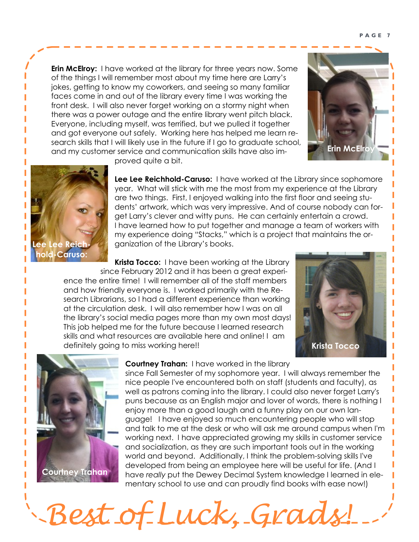**Erin McElroy:** I have worked at the library for three years now. Some of the things I will remember most about my time here are Larry's jokes, getting to know my coworkers, and seeing so many familiar faces come in and out of the library every time I was working the front desk. I will also never forget working on a stormy night when there was a power outage and the entire library went pitch black. Everyone, including myself, was terrified, but we pulled it together and got everyone out safely. Working here has helped me learn research skills that I will likely use in the future if I go to graduate school, and my customer service and communication skills have also im-





proved quite a bit.

**Lee Lee Reichhold-Caruso:** I have worked at the Library since sophomore year. What will stick with me the most from my experience at the Library are two things. First, I enjoyed walking into the first floor and seeing students' artwork, which was very impressive. And of course nobody can forget Larry's clever and witty puns. He can certainly entertain a crowd. I have learned how to put together and manage a team of workers with my experience doing "Stacks," which is a project that maintains the organization of the Library's books.

**Krista Tocco:** I have been working at the Library since February 2012 and it has been a great experience the entire time! I will remember all of the staff members and how friendly everyone is. I worked primarily with the Research Librarians, so I had a different experience than working at the circulation desk. I will also remember how I was on all the library's social media pages more than my own most days! This job helped me for the future because I learned research skills and what resources are available here and online! I am definitely going to miss working here!!





### **Courtney Trahan:** I have worked in the library

*Best of Luck, Grads!* 

since Fall Semester of my sophomore year. I will always remember the nice people I've encountered both on staff (students and faculty), as well as patrons coming into the library. I could also never forget Larry's puns because as an English major and lover of words, there is nothing I enjoy more than a good laugh and a funny play on our own language! I have enjoyed so much encountering people who will stop and talk to me at the desk or who will ask me around campus when I'm working next. I have appreciated growing my skills in customer service and socialization, as they are such important tools out in the working world and beyond. Additionally, I think the problem-solving skills I've developed from being an employee here will be useful for life. (And I have *really* put the Dewey Decimal System knowledge I learned in elementary school to use and can proudly find books with ease now!)

### **P A G E 7**